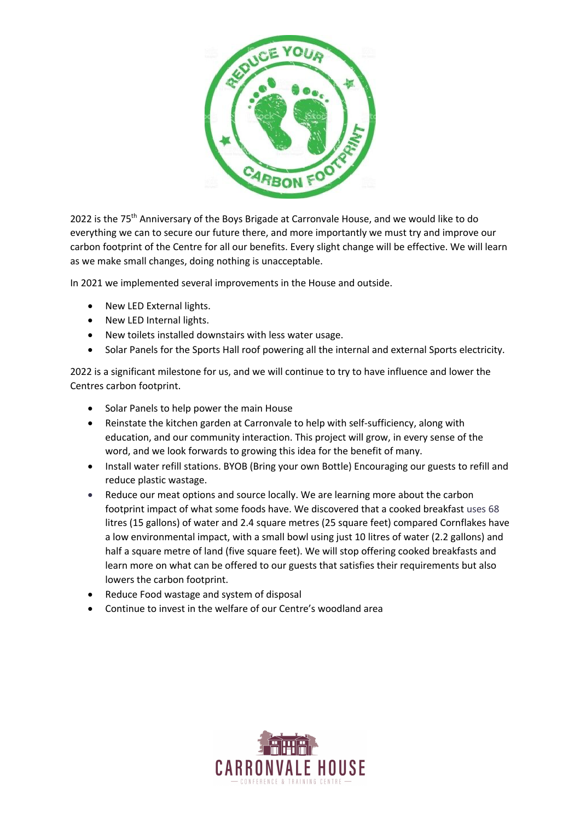

2022 is the 75<sup>th</sup> Anniversary of the Boys Brigade at Carronvale House, and we would like to do everything we can to secure our future there, and more importantly we must try and improve our carbon footprint of the Centre for all our benefits. Every slight change will be effective. We will learn as we make small changes, doing nothing is unacceptable.

In 2021 we implemented several improvements in the House and outside.

- New LED External lights.
- New LED Internal lights.
- New toilets installed downstairs with less water usage.
- Solar Panels for the Sports Hall roof powering all the internal and external Sports electricity.

2022 is a significant milestone for us, and we will continue to try to have influence and lower the Centres carbon footprint.

- Solar Panels to help power the main House
- Reinstate the kitchen garden at Carronvale to help with self-sufficiency, along with education, and our community interaction. This project will grow, in every sense of the word, and we look forwards to growing this idea for the benefit of many.
- Install water refill stations. BYOB (Bring your own Bottle) Encouraging our guests to refill and reduce plastic wastage.
- Reduce our meat options and source locally. We are learning more about the carbon footprint impact of what some foods have. We discovered that a cooked breakfast uses 68 litres (15 gallons) of water and 2.4 square metres (25 square feet) compared Cornflakes have a low environmental impact, with a small bowl using just 10 litres of water (2.2 gallons) and half a square metre of land (five square feet). We will stop offering cooked breakfasts and learn more on what can be offered to our guests that satisfies their requirements but also lowers the carbon footprint.
- Reduce Food wastage and system of disposal
- Continue to invest in the welfare of our Centre's woodland area